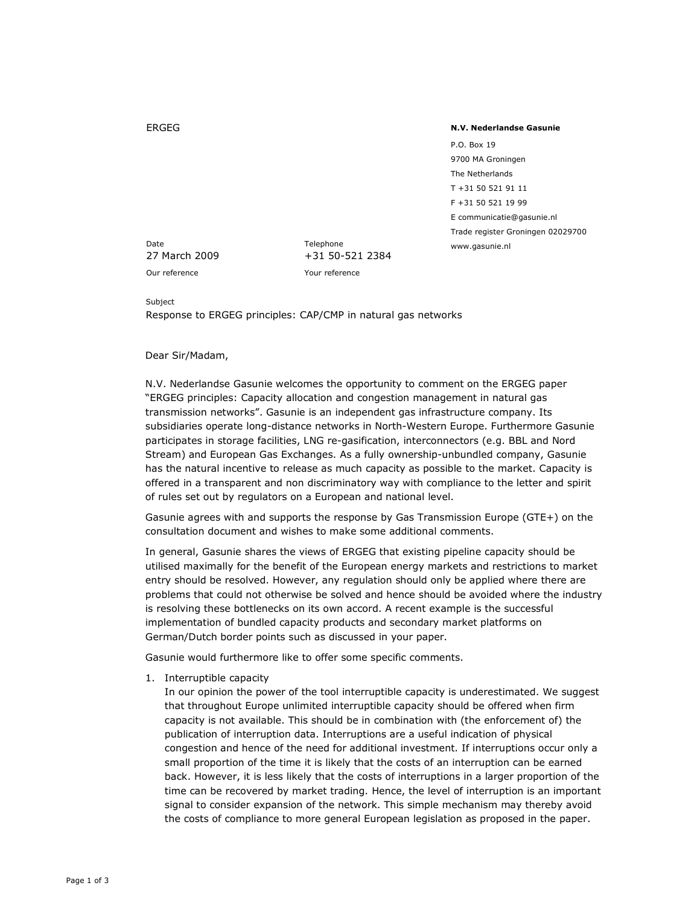## ERGEG

## N.V. Nederlandse Gasunie

P.O. Box 19 9700 MA Groningen The Netherlands T +31 50 521 91 11 F +31 50 521 19 99 E communicatie@gasunie.nl Trade register Groningen 02029700 www.gasunie.nl

Date **Telephone** 

27 March 2009 +31 50-521 2384 Our reference Your reference

## Subject

Response to ERGEG principles: CAP/CMP in natural gas networks

## Dear Sir/Madam,

N.V. Nederlandse Gasunie welcomes the opportunity to comment on the ERGEG paper "ERGEG principles: Capacity allocation and congestion management in natural gas transmission networks". Gasunie is an independent gas infrastructure company. Its subsidiaries operate long-distance networks in North-Western Europe. Furthermore Gasunie participates in storage facilities, LNG re-gasification, interconnectors (e.g. BBL and Nord Stream) and European Gas Exchanges. As a fully ownership-unbundled company, Gasunie has the natural incentive to release as much capacity as possible to the market. Capacity is offered in a transparent and non discriminatory way with compliance to the letter and spirit of rules set out by regulators on a European and national level.

Gasunie agrees with and supports the response by Gas Transmission Europe (GTE+) on the consultation document and wishes to make some additional comments.

In general, Gasunie shares the views of ERGEG that existing pipeline capacity should be utilised maximally for the benefit of the European energy markets and restrictions to market entry should be resolved. However, any regulation should only be applied where there are problems that could not otherwise be solved and hence should be avoided where the industry is resolving these bottlenecks on its own accord. A recent example is the successful implementation of bundled capacity products and secondary market platforms on German/Dutch border points such as discussed in your paper.

Gasunie would furthermore like to offer some specific comments.

1. Interruptible capacity

In our opinion the power of the tool interruptible capacity is underestimated. We suggest that throughout Europe unlimited interruptible capacity should be offered when firm capacity is not available. This should be in combination with (the enforcement of) the publication of interruption data. Interruptions are a useful indication of physical congestion and hence of the need for additional investment. If interruptions occur only a small proportion of the time it is likely that the costs of an interruption can be earned back. However, it is less likely that the costs of interruptions in a larger proportion of the time can be recovered by market trading. Hence, the level of interruption is an important signal to consider expansion of the network. This simple mechanism may thereby avoid the costs of compliance to more general European legislation as proposed in the paper.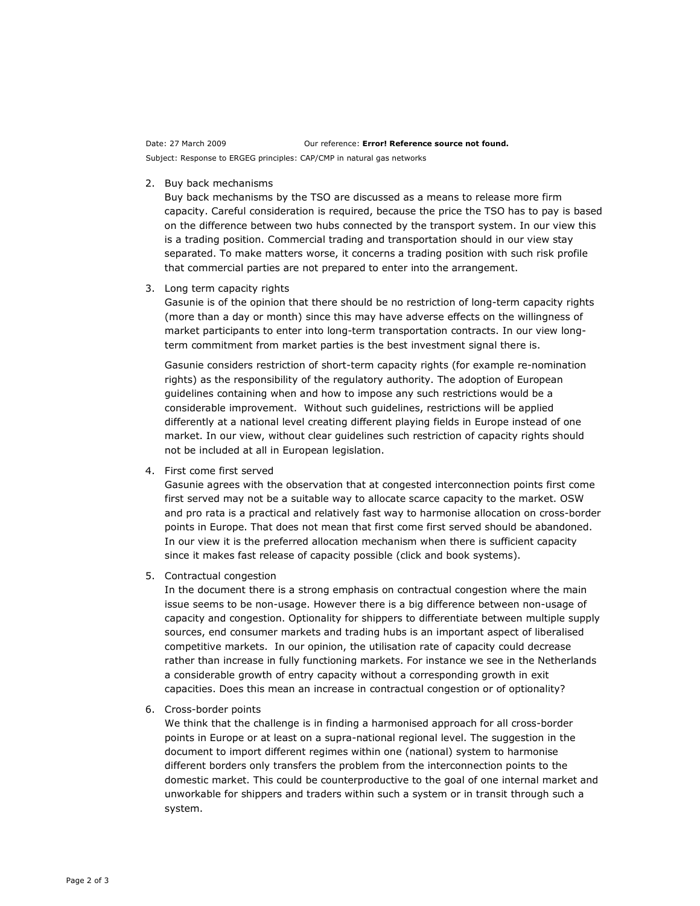Date: 27 March 2009 **Date: 27 March 2009** Our reference: **Error! Reference source not found.** Subject: Response to ERGEG principles: CAP/CMP in natural gas networks

2. Buy back mechanisms

Buy back mechanisms by the TSO are discussed as a means to release more firm capacity. Careful consideration is required, because the price the TSO has to pay is based on the difference between two hubs connected by the transport system. In our view this is a trading position. Commercial trading and transportation should in our view stay separated. To make matters worse, it concerns a trading position with such risk profile that commercial parties are not prepared to enter into the arrangement.

3. Long term capacity rights

Gasunie is of the opinion that there should be no restriction of long-term capacity rights (more than a day or month) since this may have adverse effects on the willingness of market participants to enter into long-term transportation contracts. In our view longterm commitment from market parties is the best investment signal there is.

Gasunie considers restriction of short-term capacity rights (for example re-nomination rights) as the responsibility of the regulatory authority. The adoption of European guidelines containing when and how to impose any such restrictions would be a considerable improvement. Without such guidelines, restrictions will be applied differently at a national level creating different playing fields in Europe instead of one market. In our view, without clear guidelines such restriction of capacity rights should not be included at all in European legislation.

4. First come first served

Gasunie agrees with the observation that at congested interconnection points first come first served may not be a suitable way to allocate scarce capacity to the market. OSW and pro rata is a practical and relatively fast way to harmonise allocation on cross-border points in Europe. That does not mean that first come first served should be abandoned. In our view it is the preferred allocation mechanism when there is sufficient capacity since it makes fast release of capacity possible (click and book systems).

5. Contractual congestion

In the document there is a strong emphasis on contractual congestion where the main issue seems to be non-usage. However there is a big difference between non-usage of capacity and congestion. Optionality for shippers to differentiate between multiple supply sources, end consumer markets and trading hubs is an important aspect of liberalised competitive markets. In our opinion, the utilisation rate of capacity could decrease rather than increase in fully functioning markets. For instance we see in the Netherlands a considerable growth of entry capacity without a corresponding growth in exit capacities. Does this mean an increase in contractual congestion or of optionality?

6. Cross-border points

We think that the challenge is in finding a harmonised approach for all cross-border points in Europe or at least on a supra-national regional level. The suggestion in the document to import different regimes within one (national) system to harmonise different borders only transfers the problem from the interconnection points to the domestic market. This could be counterproductive to the goal of one internal market and unworkable for shippers and traders within such a system or in transit through such a system.